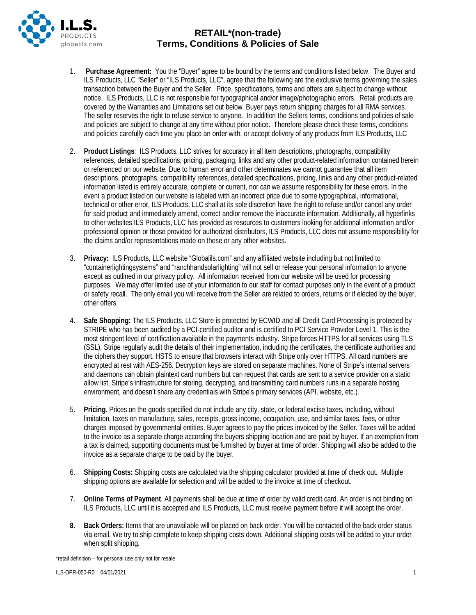

- 1. **Purchase Agreement:** You the "Buyer" agree to be bound by the terms and conditions listed below. The Buyer and ILS Products, LLC "Seller" or "ILS Products, LLC", agree that the following are the exclusive terms governing the sales transaction between the Buyer and the Seller. Price, specifications, terms and offers are subject to change without notice. ILS Products, LLC is not responsible for typographical and/or image/photographic errors. Retail products are covered by the Warranties and Limitations set out below. Buyer pays return shipping charges for all RMA services. The seller reserves the right to refuse service to anyone. In addition the Sellers terms, conditions and policies of sale and policies are subject to change at any time without prior notice. Therefore please check these terms, conditions and policies carefully each time you place an order with, or accept delivery of any products from ILS Products, LLC
- 2. **Product Listings**: ILS Products, LLC strives for accuracy in all item descriptions, photographs, compatibility references, detailed specifications, pricing, packaging, links and any other product-related information contained herein or referenced on our website. Due to human error and other determinates we cannot guarantee that all item descriptions, photographs, compatibility references, detailed specifications, pricing, links and any other product-related information listed is entirely accurate, complete or current, nor can we assume responsibility for these errors. In the event a product listed on our website is labeled with an incorrect price due to some typographical, informational, technical or other error, ILS Products, LLC shall at its sole discretion have the right to refuse and/or cancel any order for said product and immediately amend, correct and/or remove the inaccurate information. Additionally, all hyperlinks to other websites ILS Products, LLC has provided as resources to customers looking for additional information and/or professional opinion or those provided for authorized distributors, ILS Products, LLC does not assume responsibility for the claims and/or representations made on these or any other websites.
- 3. **Privacy:** ILS Products, LLC website "Globalils.com" and any affiliated website including but not limited to "containerlightingsystems" and "ranchhandsolarlighting" will not sell or release your personal information to anyone except as outlined in our privacy policy. All information received from our website will be used for processing purposes. We may offer limited use of your information to our staff for contact purposes only in the event of a product or safety recall. The only email you will receive from the Seller are related to orders, returns or if elected by the buyer, other offers.
- 4. **Safe Shopping:** The ILS Products, LLC Store is protected by ECWID and all Credit Card Processing is protected by STRIPE who has been audited by a PCI-certified auditor and is certified to [PCI Service Provider Level 1.](http://www.visa.com/splisting/searchGrsp.do?companyNameCriteria=stripe) This is the most stringent level of certification available in the payments industry. Stripe forces HTTPS for all services using TLS (SSL), Stripe regularly audit the details of their implementation, including the certificates, the certificate authorities and the ciphers they support. [HSTS](http://en.wikipedia.org/wiki/HTTP_Strict_Transport_Security) to ensure that browsers interact with Stripe only over HTTPS. All card numbers are encrypted at rest with AES-256. Decryption keys are stored on separate machines. None of Stripe's internal servers and daemons can obtain plaintext card numbers but can request that cards are sent to a service provider on a static allow list. Stripe's infrastructure for storing, decrypting, and transmitting card numbers runs in a separate hosting environment, and doesn't share any credentials with Stripe's primary services (API, website, etc.).
- 5. **Pricing**. Prices on the goods specified do not include any city, state, or federal excise taxes, including, without limitation, taxes on manufacture, sales, receipts, gross income, occupation, use, and similar taxes, fees, or other charges imposed by governmental entities. Buyer agrees to pay the prices invoiced by the Seller. Taxes will be added to the invoice as a separate charge according the buyers shipping location and are paid by buyer. If an exemption from a tax is claimed, supporting documents must be furnished by buyer at time of order. Shipping will also be added to the invoice as a separate charge to be paid by the buyer.
- 6. **Shipping Costs:** Shipping costs are calculated via the shipping calculator provided at time of check out. Multiple shipping options are available for selection and will be added to the invoice at time of checkout.
- 7. **Online Terms of Payment**. All payments shall be due at time of order by valid credit card. An order is not binding on ILS Products, LLC until it is accepted and ILS Products, LLC must receive payment before it will accept the order.
- **8. Back Orders: I**tems that are unavailable will be placed on back order. You will be contacted of the back order status via email. We try to ship complete to keep shipping costs down. Additional shipping costs will be added to your order when split shipping.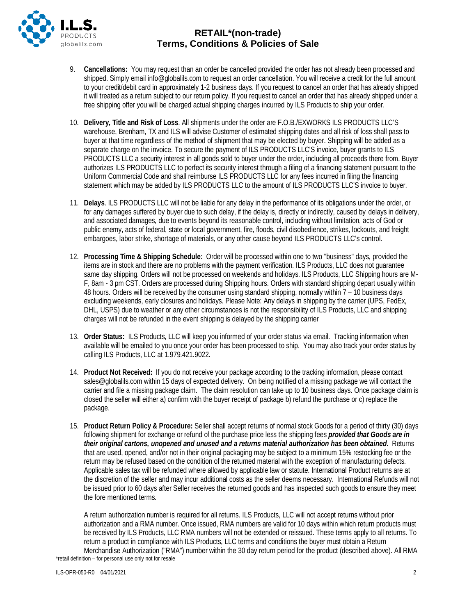

- 9. **Cancellations:** You may request than an order be cancelled provided the order has not already been processed and shipped. Simply email info@globalils.com to request an order cancellation. You will receive a credit for the full amount to your credit/debit card in approximately 1-2 business days. If you request to cancel an order that has already shipped it will treated as a return subject to our return policy. If you request to cancel an order that has already shipped under a free shipping offer you will be charged actual shipping charges incurred by ILS Products to ship your order.
- 10. **Delivery, Title and Risk of Loss**. All shipments under the order are F.O.B./EXWORKS ILS PRODUCTS LLC'S warehouse, Brenham, TX and ILS will advise Customer of estimated shipping dates and all risk of loss shall pass to buyer at that time regardless of the method of shipment that may be elected by buyer. Shipping will be added as a separate charge on the invoice. To secure the payment of ILS PRODUCTS LLC'S invoice, buyer grants to ILS PRODUCTS LLC a security interest in all goods sold to buyer under the order, including all proceeds there from. Buyer authorizes ILS PRODUCTS LLC to perfect its security interest through a filing of a financing statement pursuant to the Uniform Commercial Code and shall reimburse ILS PRODUCTS LLC for any fees incurred in filing the financing statement which may be added by ILS PRODUCTS LLC to the amount of ILS PRODUCTS LLC'S invoice to buyer.
- 11. **Delays**. ILS PRODUCTS LLC will not be liable for any delay in the performance of its obligations under the order, or for any damages suffered by buyer due to such delay, if the delay is, directly or indirectly, caused by delays in delivery, and associated damages, due to events beyond its reasonable control, including without limitation, acts of God or public enemy, acts of federal, state or local government, fire, floods, civil disobedience, strikes, lockouts, and freight embargoes, labor strike, shortage of materials, or any other cause beyond ILS PRODUCTS LLC's control.
- 12. **Processing Time & Shipping Schedule:** Order will be processed within one to two "business" days, provided the items are in stock and there are no problems with the payment verification. ILS Products, LLC does not guarantee same day shipping. Orders will not be processed on weekends and holidays. ILS Products, LLC Shipping hours are M-F, 8am - 3 pm CST. Orders are processed during Shipping hours. Orders with standard shipping depart usually within 48 hours. Orders will be received by the consumer using standard shipping, normally within 7 – 10 business days excluding weekends, early closures and holidays. Please Note: Any delays in shipping by the carrier (UPS, FedEx, DHL, USPS) due to weather or any other circumstances is not the responsibility of ILS Products, LLC and shipping charges will not be refunded in the event shipping is delayed by the shipping carrier
- 13. **Order Status:** ILS Products, LLC will keep you informed of your order status via email. Tracking information when available will be emailed to you once your order has been processed to ship. You may also track your order status by calling ILS Products, LLC at 1.979.421.9022.
- 14. **Product Not Received:** If you do not receive your package according to the tracking information, please contact sales@globalils.com within 15 days of expected delivery. On being notified of a missing package we will contact the carrier and file a missing package claim. The claim resolution can take up to 10 business days. Once package claim is closed the seller will either a) confirm with the buyer receipt of package b) refund the purchase or c) replace the package.
- 15. **Product Return Policy & Procedure:** Seller shall accept returns of normal stock Goods for a period of thirty (30) days following shipment for exchange or refund of the purchase price less the shipping fees *provided that Goods are in their original cartons, unopened and unused and a returns material authorization has been obtained***.** Returns that are used, opened, and/or not in their original packaging may be subject to a minimum 15% restocking fee or the return may be refused based on the condition of the returned material with the exception of manufacturing defects. Applicable sales tax will be refunded where allowed by applicable law or statute. International Product returns are at the discretion of the seller and may incur additional costs as the seller deems necessary. International Refunds will not be issued prior to 60 days after Seller receives the returned goods and has inspected such goods to ensure they meet the fore mentioned terms.

\*retail definition – for personal use only not for resale A return authorization number is required for all returns. ILS Products, LLC will not accept returns without prior authorization and a RMA number. Once issued, RMA numbers are valid for 10 days within which return products must be received by ILS Products, LLC RMA numbers will not be extended or reissued. These terms apply to all returns. To return a product in compliance with ILS Products, LLC terms and conditions the buyer must obtain a Return Merchandise Authorization ("RMA") number within the 30 day return period for the product (described above). All RMA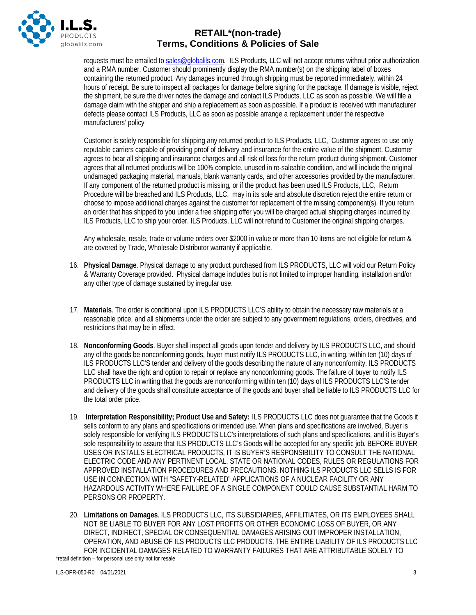

requests must be emailed t[o sales@globalils.com.](mailto:sales@globalils.com) ILS Products, LLC will not accept returns without prior authorization and a RMA number. Customer should prominently display the RMA number(s) on the shipping label of boxes containing the returned product. Any damages incurred through shipping must be reported immediately, within 24 hours of receipt. Be sure to inspect all packages for damage before signing for the package. If damage is visible, reject the shipment, be sure the driver notes the damage and contact ILS Products, LLC as soon as possible. We will file a damage claim with the shipper and ship a replacement as soon as possible. If a product is received with manufacturer defects please contact ILS Products, LLC as soon as possible arrange a replacement under the respective manufacturers' policy

Customer is solely responsible for shipping any returned product to ILS Products, LLC, Customer agrees to use only reputable carriers capable of providing proof of delivery and insurance for the entire value of the shipment. Customer agrees to bear all shipping and insurance charges and all risk of loss for the return product during shipment. Customer agrees that all returned products will be 100% complete, unused in re-saleable condition, and will include the original undamaged packaging material, manuals, blank warranty cards, and other accessories provided by the manufacturer. If any component of the returned product is missing, or if the product has been used ILS Products, LLC, Return Procedure will be breached and ILS Products, LLC, may in its sole and absolute discretion reject the entire return or choose to impose additional charges against the customer for replacement of the missing component(s). If you return an order that has shipped to you under a free shipping offer you will be charged actual shipping charges incurred by ILS Products, LLC to ship your order. ILS Products, LLC will not refund to Customer the original shipping charges.

Any wholesale, resale, trade or volume orders over \$2000 in value or more than 10 items are not eligible for return & are covered by Trade, Wholesale Distributor warranty if applicable.

- 16. **Physical Damage**. Physical damage to any product purchased from ILS PRODUCTS, LLC will void our Return Policy & Warranty Coverage provided. Physical damage includes but is not limited to improper handling, installation and/or any other type of damage sustained by irregular use.
- 17. **Materials**. The order is conditional upon ILS PRODUCTS LLC'S ability to obtain the necessary raw materials at a reasonable price, and all shipments under the order are subject to any government regulations, orders, directives, and restrictions that may be in effect.
- 18. **Nonconforming Goods**. Buyer shall inspect all goods upon tender and delivery by ILS PRODUCTS LLC, and should any of the goods be nonconforming goods, buyer must notify ILS PRODUCTS LLC, in writing, within ten (10) days of ILS PRODUCTS LLC'S tender and delivery of the goods describing the nature of any nonconformity. ILS PRODUCTS LLC shall have the right and option to repair or replace any nonconforming goods. The failure of buyer to notify ILS PRODUCTS LLC in writing that the goods are nonconforming within ten (10) days of ILS PRODUCTS LLC'S tender and delivery of the goods shall constitute acceptance of the goods and buyer shall be liable to ILS PRODUCTS LLC for the total order price.
- 19. **Interpretation Responsibility; Product Use and Safety:** ILS PRODUCTS LLC does not guarantee that the Goods it sells conform to any plans and specifications or intended use. When plans and specifications are involved, Buyer is solely responsible for verifying ILS PRODUCTS LLC's interpretations of such plans and specifications, and it is Buyer's sole responsibility to assure that ILS PRODUCTS LLC's Goods will be accepted for any specific job. BEFORE BUYER USES OR INSTALLS ELECTRICAL PRODUCTS, IT IS BUYER'S RESPONSIBILITY TO CONSULT THE NATIONAL ELECTRIC CODE AND ANY PERTINENT LOCAL, STATE OR NATIONAL CODES, RULES OR REGULATIONS FOR APPROVED INSTALLATION PROCEDURES AND PRECAUTIONS. NOTHING ILS PRODUCTS LLC SELLS IS FOR USE IN CONNECTION WITH "SAFETY-RELATED" APPLICATIONS OF A NUCLEAR FACILITY OR ANY HAZARDOUS ACTIVITY WHERE FAILURE OF A SINGLE COMPONENT COULD CAUSE SUBSTANTIAL HARM TO PERSONS OR PROPERTY.
- 20. **Limitations on Damages**. ILS PRODUCTS LLC, ITS SUBSIDIARIES, AFFILITIATES, OR ITS EMPLOYEES SHALL NOT BE LIABLE TO BUYER FOR ANY LOST PROFITS OR OTHER ECONOMIC LOSS OF BUYER, OR ANY DIRECT, INDIRECT, SPECIAL OR CONSEQUENTIAL DAMAGES ARISING OUT IMPROPER INSTALLATION, OPERATION, AND ABUSE OF ILS PRODUCTS LLC PRODUCTS. THE ENTIRE LIABILITY OF ILS PRODUCTS LLC FOR INCIDENTAL DAMAGES RELATED TO WARRANTY FAILURES THAT ARE ATTRIBUTABLE SOLELY TO

\*retail definition – for personal use only not for resale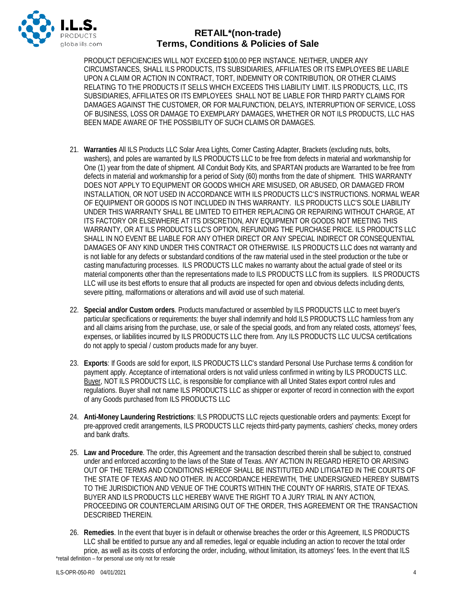

PRODUCT DEFICIENCIES WILL NOT EXCEED \$100.00 PER INSTANCE. NEITHER, UNDER ANY CIRCUMSTANCES, SHALL ILS PRODUCTS, ITS SUBSIDIARIES, AFFILIATES OR ITS EMPLOYEES BE LIABLE UPON A CLAIM OR ACTION IN CONTRACT, TORT, INDEMNITY OR CONTRIBUTION, OR OTHER CLAIMS RELATING TO THE PRODUCTS IT SELLS WHICH EXCEEDS THIS LIABILITY LIMIT. ILS PRODUCTS, LLC, ITS SUBSIDIARIES, AFFILIATES OR ITS EMPLOYEES SHALL NOT BE LIABLE FOR THIRD PARTY CLAIMS FOR DAMAGES AGAINST THE CUSTOMER, OR FOR MALFUNCTION, DELAYS, INTERRUPTION OF SERVICE, LOSS OF BUSINESS, LOSS OR DAMAGE TO EXEMPLARY DAMAGES, WHETHER OR NOT ILS PRODUCTS, LLC HAS BEEN MADE AWARE OF THE POSSIBILITY OF SUCH CLAIMS OR DAMAGES.

- 21. **Warranties** All ILS Products LLC Solar Area Lights, Corner Casting Adapter, Brackets (excluding nuts, bolts, washers), and poles are warranted by ILS PRODUCTS LLC to be free from defects in material and workmanship for One (1) year from the date of shipment. All Conduit Body Kits, and SPARTAN products are Warranted to be free from defects in material and workmanship for a period of Sixty (60) months from the date of shipment. THIS WARRANTY DOES NOT APPLY TO EQUIPMENT OR GOODS WHICH ARE MISUSED, OR ABUSED, OR DAMAGED FROM INSTALLATION, OR NOT USED IN ACCORDANCE WITH ILS PRODUCTS LLC'S INSTRUCTIONS. NORMAL WEAR OF EQUIPMENT OR GOODS IS NOT INCLUDED IN THIS WARRANTY. ILS PRODUCTS LLC'S SOLE LIABILITY UNDER THIS WARRANTY SHALL BE LIMITED TO EITHER REPLACING OR REPAIRING WITHOUT CHARGE, AT ITS FACTORY OR ELSEWHERE AT ITS DISCRETION, ANY EQUIPMENT OR GOODS NOT MEETING THIS WARRANTY, OR AT ILS PRODUCTS LLC'S OPTION, REFUNDING THE PURCHASE PRICE. ILS PRODUCTS LLC SHALL IN NO EVENT BE LIABLE FOR ANY OTHER DIRECT OR ANY SPECIAL INDIRECT OR CONSEQUENTIAL DAMAGES OF ANY KIND UNDER THIS CONTRACT OR OTHERWISE. ILS PRODUCTS LLC does not warranty and is not liable for any defects or substandard conditions of the raw material used in the steel production or the tube or casting manufacturing processes. ILS PRODUCTS LLC makes no warranty about the actual grade of steel or its material components other than the representations made to ILS PRODUCTS LLC from its suppliers. ILS PRODUCTS LLC will use its best efforts to ensure that all products are inspected for open and obvious defects including dents, severe pitting, malformations or alterations and will avoid use of such material.
- 22. **Special and/or Custom orders**. Products manufactured or assembled by ILS PRODUCTS LLC to meet buyer's particular specifications or requirements: the buyer shall indemnify and hold ILS PRODUCTS LLC harmless from any and all claims arising from the purchase, use, or sale of the special goods, and from any related costs, attorneys' fees, expenses, or liabilities incurred by ILS PRODUCTS LLC there from. Any ILS PRODUCTS LLC UL/CSA certifications do not apply to special / custom products made for any buyer.
- 23. **Exports**: If Goods are sold for export, ILS PRODUCTS LLC's standard Personal Use Purchase terms & condition for payment apply. Acceptance of international orders is not valid unless confirmed in writing by ILS PRODUCTS LLC. Buyer, NOT ILS PRODUCTS LLC, is responsible for compliance with all United States export control rules and regulations. Buyer shall not name ILS PRODUCTS LLC as shipper or exporter of record in connection with the export of any Goods purchased from ILS PRODUCTS LLC
- 24. **Anti-Money Laundering Restrictions**: ILS PRODUCTS LLC rejects questionable orders and payments: Except for pre-approved credit arrangements, ILS PRODUCTS LLC rejects third-party payments, cashiers' checks, money orders and bank drafts.
- 25. **Law and Procedure**. The order, this Agreement and the transaction described therein shall be subject to, construed under and enforced according to the laws of the State of Texas. ANY ACTION IN REGARD HERETO OR ARISING OUT OF THE TERMS AND CONDITIONS HEREOF SHALL BE INSTITUTED AND LITIGATED IN THE COURTS OF THE STATE OF TEXAS AND NO OTHER. IN ACCORDANCE HEREWITH, THE UNDERSIGNED HEREBY SUBMITS TO THE JURISDICTION AND VENUE OF THE COURTS WITHIN THE COUNTY OF HARRIS, STATE OF TEXAS. BUYER AND ILS PRODUCTS LLC HEREBY WAIVE THE RIGHT TO A JURY TRIAL IN ANY ACTION, PROCEEDING OR COUNTERCLAIM ARISING OUT OF THE ORDER, THIS AGREEMENT OR THE TRANSACTION DESCRIBED THEREIN.
- \*retail definition for personal use only not for resale 26. **Remedies**. In the event that buyer is in default or otherwise breaches the order or this Agreement, ILS PRODUCTS LLC shall be entitled to pursue any and all remedies, legal or equable including an action to recover the total order price, as well as its costs of enforcing the order, including, without limitation, its attorneys' fees. In the event that ILS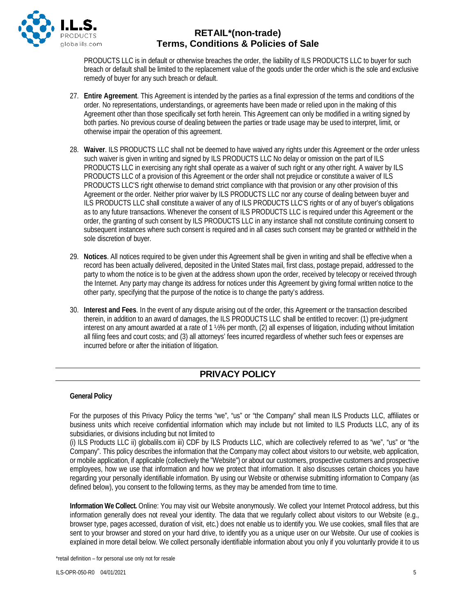

PRODUCTS LLC is in default or otherwise breaches the order, the liability of ILS PRODUCTS LLC to buyer for such breach or default shall be limited to the replacement value of the goods under the order which is the sole and exclusive remedy of buyer for any such breach or default.

- 27. **Entire Agreement**. This Agreement is intended by the parties as a final expression of the terms and conditions of the order. No representations, understandings, or agreements have been made or relied upon in the making of this Agreement other than those specifically set forth herein. This Agreement can only be modified in a writing signed by both parties. No previous course of dealing between the parties or trade usage may be used to interpret, limit, or otherwise impair the operation of this agreement.
- 28. **Waiver**. ILS PRODUCTS LLC shall not be deemed to have waived any rights under this Agreement or the order unless such waiver is given in writing and signed by ILS PRODUCTS LLC No delay or omission on the part of ILS PRODUCTS LLC in exercising any right shall operate as a waiver of such right or any other right. A waiver by ILS PRODUCTS LLC of a provision of this Agreement or the order shall not prejudice or constitute a waiver of ILS PRODUCTS LLC'S right otherwise to demand strict compliance with that provision or any other provision of this Agreement or the order. Neither prior waiver by ILS PRODUCTS LLC nor any course of dealing between buyer and ILS PRODUCTS LLC shall constitute a waiver of any of ILS PRODUCTS LLC'S rights or of any of buyer's obligations as to any future transactions. Whenever the consent of ILS PRODUCTS LLC is required under this Agreement or the order, the granting of such consent by ILS PRODUCTS LLC in any instance shall not constitute continuing consent to subsequent instances where such consent is required and in all cases such consent may be granted or withheld in the sole discretion of buyer.
- 29. **Notices**. All notices required to be given under this Agreement shall be given in writing and shall be effective when a record has been actually delivered, deposited in the United States mail, first class, postage prepaid, addressed to the party to whom the notice is to be given at the address shown upon the order, received by telecopy or received through the Internet. Any party may change its address for notices under this Agreement by giving formal written notice to the other party, specifying that the purpose of the notice is to change the party's address.
- 30. **Interest and Fees**. In the event of any dispute arising out of the order, this Agreement or the transaction described therein, in addition to an award of damages, the ILS PRODUCTS LLC shall be entitled to recover: (1) pre-judgment interest on any amount awarded at a rate of 1 ½% per month, (2) all expenses of litigation, including without limitation all filing fees and court costs; and (3) all attorneys' fees incurred regardless of whether such fees or expenses are incurred before or after the initiation of litigation.

# **PRIVACY POLICY**

#### **General Policy**

For the purposes of this Privacy Policy the terms "we", "us" or "the Company" shall mean ILS Products LLC, affiliates or business units which receive confidential information which may include but not limited to ILS Products LLC, any of its subsidiaries, or divisions including but not limited to

(i) ILS Products LLC ii) globalils.com iii) CDF by ILS Products LLC, which are collectively referred to as "we", "us" or "the Company". This policy describes the information that the Company may collect about visitors to our website, web application, or mobile application, if applicable (collectively the "Website") or about our customers, prospective customers and prospective employees, how we use that information and how we protect that information. It also discusses certain choices you have regarding your personally identifiable information. By using our Website or otherwise submitting information to Company (as defined below), you consent to the following terms, as they may be amended from time to time.

**Information We Collect.** Online: You may visit our Website anonymously. We collect your Internet Protocol address, but this information generally does not reveal your identity. The data that we regularly collect about visitors to our Website (e.g., browser type, pages accessed, duration of visit, etc.) does not enable us to identify you. We use cookies, small files that are sent to your browser and stored on your hard drive, to identify you as a unique user on our Website. Our use of cookies is explained in more detail below. We collect personally identifiable information about you only if you voluntarily provide it to us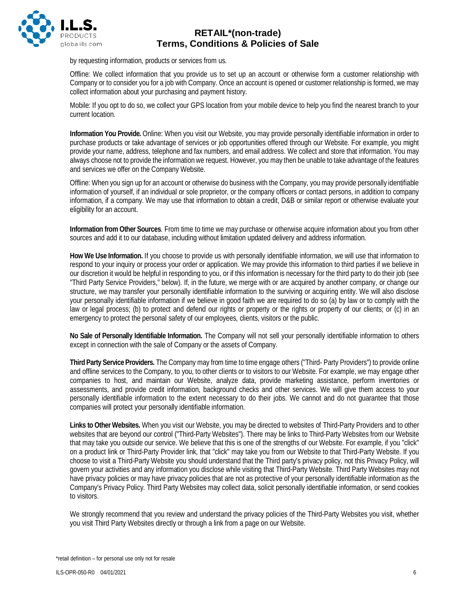

by requesting information, products or services from us.

Offline: We collect information that you provide us to set up an account or otherwise form a customer relationship with Company or to consider you for a job with Company. Once an account is opened or customer relationship is formed, we may collect information about your purchasing and payment history.

Mobile: If you opt to do so, we collect your GPS location from your mobile device to help you find the nearest branch to your current location.

**Information You Provide.** Online: When you visit our Website, you may provide personally identifiable information in order to purchase products or take advantage of services or job opportunities offered through our Website. For example, you might provide your name, address, telephone and fax numbers, and email address. We collect and store that information. You may always choose not to provide the information we request. However, you may then be unable to take advantage of the features and services we offer on the Company Website.

Offline: When you sign up for an account or otherwise do business with the Company, you may provide personally identifiable information of yourself, if an individual or sole proprietor, or the company officers or contact persons, in addition to company information, if a company. We may use that information to obtain a credit, D&B or similar report or otherwise evaluate your eligibility for an account.

**Information from Other Sources**. From time to time we may purchase or otherwise acquire information about you from other sources and add it to our database, including without limitation updated delivery and address information.

**How We Use Information.** If you choose to provide us with personally identifiable information, we will use that information to respond to your inquiry or process your order or application. We may provide this information to third parties if we believe in our discretion it would be helpful in responding to you, or if this information is necessary for the third party to do their job (see "Third Party Service Providers," below). If, in the future, we merge with or are acquired by another company, or change our structure, we may transfer your personally identifiable information to the surviving or acquiring entity. We will also disclose your personally identifiable information if we believe in good faith we are required to do so (a) by law or to comply with the law or legal process; (b) to protect and defend our rights or property or the rights or property of our clients; or (c) in an emergency to protect the personal safety of our employees, clients, visitors or the public.

**No Sale of Personally Identifiable Information.** The Company will not sell your personally identifiable information to others except in connection with the sale of Company or the assets of Company.

**Third Party Service Providers.** The Company may from time to time engage others ("Third- Party Providers") to provide online and offline services to the Company, to you, to other clients or to visitors to our Website. For example, we may engage other companies to host, and maintain our Website, analyze data, provide marketing assistance, perform inventories or assessments, and provide credit information, background checks and other services. We will give them access to your personally identifiable information to the extent necessary to do their jobs. We cannot and do not guarantee that those companies will protect your personally identifiable information.

**Links to Other Websites.** When you visit our Website, you may be directed to websites of Third-Party Providers and to other websites that are beyond our control ("Third-Party Websites"). There may be links to Third-Party Websites from our Website that may take you outside our service. We believe that this is one of the strengths of our Website. For example, if you "click" on a product link or Third-Party Provider link, that "click" may take you from our Website to that Third-Party Website. If you choose to visit a Third-Party Website you should understand that the Third party's privacy policy, not this Privacy Policy, will govern your activities and any information you disclose while visiting that Third-Party Website. Third Party Websites may not have privacy policies or may have privacy policies that are not as protective of your personally identifiable information as the Company's Privacy Policy. Third Party Websites may collect data, solicit personally identifiable information, or send cookies to visitors.

We strongly recommend that you review and understand the privacy policies of the Third-Party Websites you visit, whether you visit Third Party Websites directly or through a link from a page on our Website.